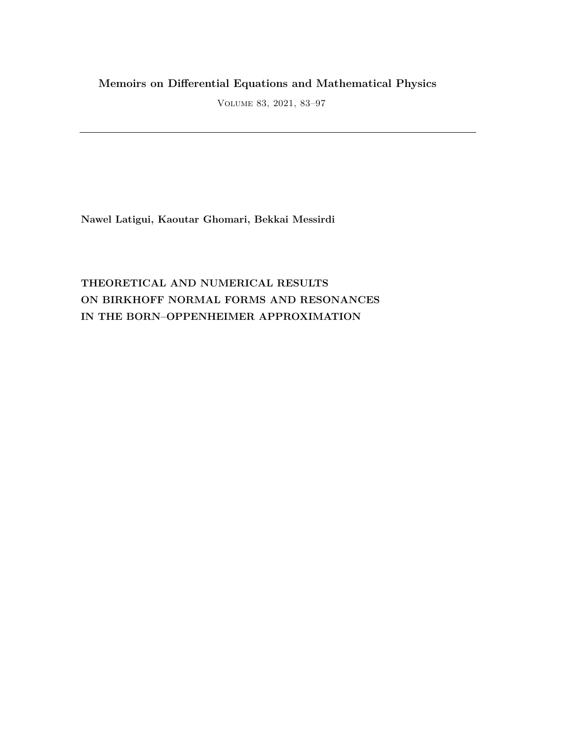## **Memoirs on Differential Equations and Mathematical Physics**

Volume 83, 2021, 83–97

**Nawel Latigui, Kaoutar Ghomari, Bekkai Messirdi**

# **THEORETICAL AND NUMERICAL RESULTS ON BIRKHOFF NORMAL FORMS AND RESONANCES IN THE BORN–OPPENHEIMER APPROXIMATION**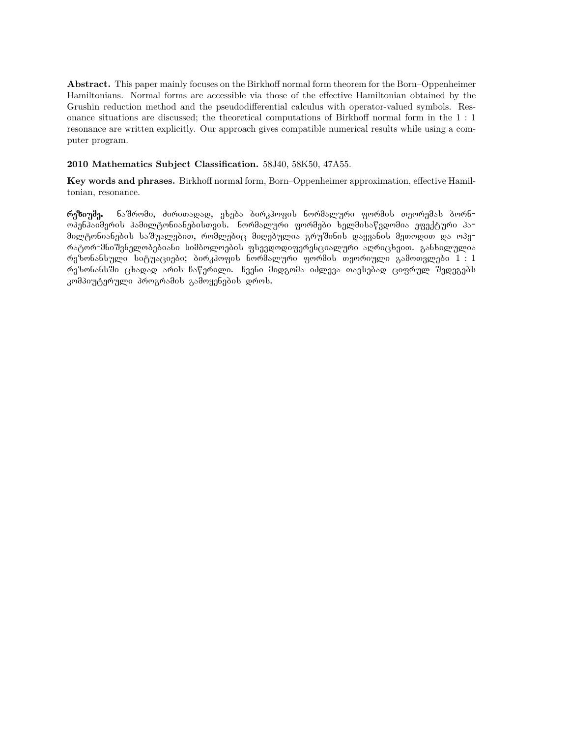**Abstract.** This paper mainly focuses on the Birkhoff normal form theorem for the Born–Oppenheimer Hamiltonians. Normal forms are accessible via those of the effective Hamiltonian obtained by the Grushin reduction method and the pseudodifferential calculus with operator-valued symbols. Resonance situations are discussed; the theoretical computations of Birkhoff normal form in the 1 : 1 resonance are written explicitly. Our approach gives compatible numerical results while using a computer program.

### **2010 Mathematics Subject Classification.** 58J40, 58K50, 47A55.

**Key words and phrases.** Birkhoff normal form, Born–Oppenheimer approximation, effective Hamiltonian, resonance.

რეზიუმე. ნაშრომი, ძირითადად, ეხება ბირკჰოფის ნორმალური ფორმის თეორემას ბორნოპენჰაიმერის ჰამილტონიანებისთვის. ნორმალური ფორმები ხელმისაწვდომია ეფექტური ჰა− მილტონიანების საშუალებით, რომლებიც მიღებულია გრუშინის დაყვანის მეთოდით და ოპე-ÒÀÔÏÒ-ÌÍÉÛÅÍÄËÏÁÄÁÉÀÍÉ ÓÉÌÁÏËÏÄÁÉÓ ×ÓÄÅÃÏÃÉ×ÄÒÄÍÝÉÀËÖÒÉ ÀÙÒÉÝáÅÉÈ. ÂÀÍáÉËÖËÉÀ რეზონანსული სიტუაციები; ბირკჰოფის ნორმალური ფორმის თეორიული გამოთვლები  $1:1\,$ რუზონანს ში ცხადად არის ჩაწერილი. ჩვენი მიდგომა იძლევა თავსებად ციფრულ შედეგებს კომპიუტერული პროგრამის გამოყენების დროს.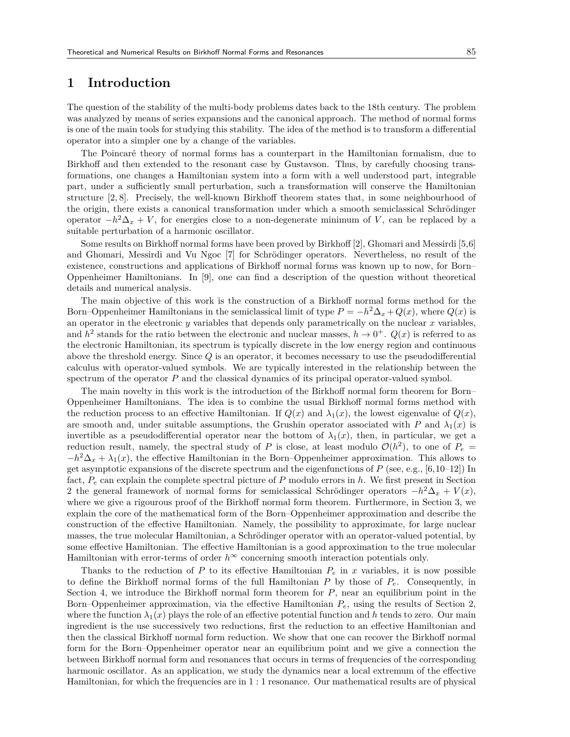## **1 Introduction**

The question of the stability of the multi-body problems dates back to the 18th century. The problem was analyzed by means of series expansions and the canonical approach. The method of normal forms is one of the main tools for studying this stability. The idea of the method is to transform a differential operator into a simpler one by a change of the variables.

The Poincaré theory of normal forms has a counterpart in the Hamiltonian formalism, due to Birkhoff and then extended to the resonant case by Gustavson. Thus, by carefully choosing transformations, one changes a Hamiltonian system into a form with a well understood part, integrable part, under a sufficiently small perturbation, such a transformation will conserve the Hamiltonian structure [2, 8]. Precisely, the well-known Birkhoff theorem states that, in some neighbourhood of the origin, there exists a canonical transformation under which a smooth semiclassical Schrödinger operator  $-h^2\Delta_x + V$ , for energies close to a non-degenerate minimum of *V*, can be replaced by a suitable perturbation of a harmonic oscillator.

Some results on Birkhoff normal forms have been proved by Birkhoff [2], Ghomari and Messirdi [5,6] and Ghomari, Messirdi and Vu Ngoc [7] for Schrödinger operators. Nevertheless, no result of the existence, constructions and applications of Birkhoff normal forms was known up to now, for Born– Oppenheimer Hamiltonians. In [9], one can find a description of the question without theoretical details and numerical analysis.

The main objective of this work is the construction of a Birkhoff normal forms method for the Born–Oppenheimer Hamiltonians in the semiclassical limit of type  $P = -h^2 \Delta_x + Q(x)$ , where  $Q(x)$  is an operator in the electronic  $y$  variables that depends only parametrically on the nuclear  $x$  variables, and  $h^2$  stands for the ratio between the electronic and nuclear masses,  $h \to 0^+$ .  $Q(x)$  is referred to as the electronic Hamiltonian, its spectrum is typically discrete in the low energy region and continuous above the threshold energy. Since *Q* is an operator, it becomes necessary to use the pseudodifferential calculus with operator-valued symbols. We are typically interested in the relationship between the spectrum of the operator *P* and the classical dynamics of its principal operator-valued symbol.

The main novelty in this work is the introduction of the Birkhoff normal form theorem for Born– Oppenheimer Hamiltonians. The idea is to combine the usual Birkhoff normal forms method with the reduction process to an effective Hamiltonian. If  $Q(x)$  and  $\lambda_1(x)$ , the lowest eigenvalue of  $Q(x)$ , are smooth and, under suitable assumptions, the Grushin operator associated with *P* and  $\lambda_1(x)$  is invertible as a pseudodifferential operator near the bottom of  $\lambda_1(x)$ , then, in particular, we get a reduction result, namely, the spectral study of *P* is close, at least modulo  $\mathcal{O}(h^2)$ , to one of  $P_e$  =  $-h^2\Delta_x + \lambda_1(x)$ , the effective Hamiltonian in the Born–Oppenheimer approximation. This allows to get asymptotic expansions of the discrete spectrum and the eigenfunctions of  $P$  (see, e.g., [6,10–12]) In fact, *P<sup>e</sup>* can explain the complete spectral picture of *P* modulo errors in *h*. We first present in Section 2 the general framework of normal forms for semiclassical Schrödinger operators  $-h^2\Delta_x + V(x)$ , where we give a rigourous proof of the Birkhoff normal form theorem. Furthermore, in Section 3, we explain the core of the mathematical form of the Born–Oppenheimer approximation and describe the construction of the effective Hamiltonian. Namely, the possibility to approximate, for large nuclear masses, the true molecular Hamiltonian, a Schrödinger operator with an operator-valued potential, by some effective Hamiltonian. The effective Hamiltonian is a good approximation to the true molecular Hamiltonian with error-terms of order  $h^\infty$  concerning smooth interaction potentials only.

Thanks to the reduction of  $P$  to its effective Hamiltonian  $P_e$  in  $x$  variables, it is now possible to define the Birkhoff normal forms of the full Hamiltonian  $P$  by those of  $P_e$ . Consequently, in Section 4, we introduce the Birkhoff normal form theorem for *P*, near an equilibrium point in the Born–Oppenheimer approximation, via the effective Hamiltonian *Pe*, using the results of Section 2, where the function  $\lambda_1(x)$  plays the role of an effective potential function and h tends to zero. Our main ingredient is the use successively two reductions, first the reduction to an effective Hamiltonian and then the classical Birkhoff normal form reduction. We show that one can recover the Birkhoff normal form for the Born–Oppenheimer operator near an equilibrium point and we give a connection the between Birkhoff normal form and resonances that occurs in terms of frequencies of the corresponding harmonic oscillator. As an application, we study the dynamics near a local extremum of the effective Hamiltonian, for which the frequencies are in 1 : 1 resonance. Our mathematical results are of physical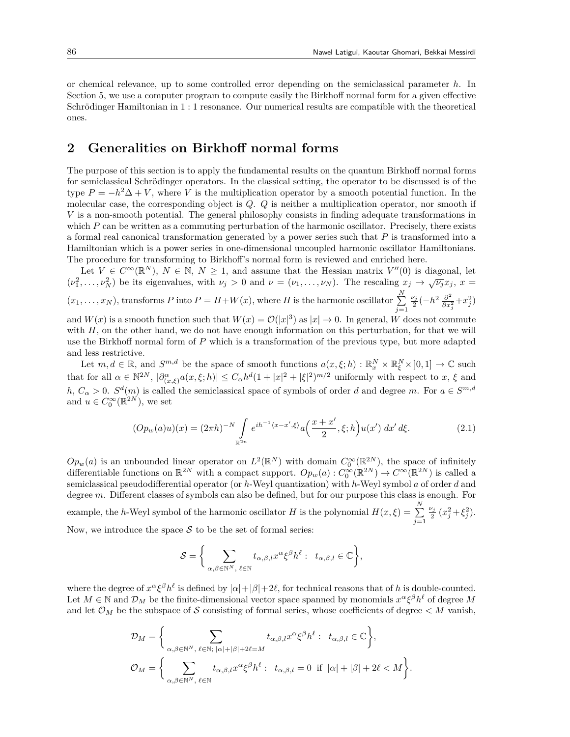or chemical relevance, up to some controlled error depending on the semiclassical parameter *h*. In Section 5, we use a computer program to compute easily the Birkhoff normal form for a given effective Schrödinger Hamiltonian in 1 : 1 resonance. Our numerical results are compatible with the theoretical ones.

## **2 Generalities on Birkhoff normal forms**

The purpose of this section is to apply the fundamental results on the quantum Birkhoff normal forms for semiclassical Schrödinger operators. In the classical setting, the operator to be discussed is of the type  $P = -h^2\Delta + V$ , where *V* is the multiplication operator by a smooth potential function. In the molecular case, the corresponding object is *Q*. *Q* is neither a multiplication operator, nor smooth if *V* is a non-smooth potential. The general philosophy consists in finding adequate transformations in which *P* can be written as a commuting perturbation of the harmonic oscillator. Precisely, there exists a formal real canonical transformation generated by a power series such that *P* is transformed into a Hamiltonian which is a power series in one-dimensional uncoupled harmonic oscillator Hamiltonians. The procedure for transforming to Birkhoff's normal form is reviewed and enriched here.

Let  $V \in C^{\infty}(\mathbb{R}^{N}), N \in \mathbb{N}, N \geq 1$ , and assume that the Hessian matrix  $V''(0)$  is diagonal, let  $(\nu_1^2, \ldots, \nu_N^2)$  be its eigenvalues, with  $\nu_j > 0$  and  $\nu = (\nu_1, \ldots, \nu_N)$ . The rescaling  $x_j \to \sqrt{\nu_j} x_j$ ,  $x =$  $(x_1, \ldots, x_N)$ , transforms *P* into  $P = H + W(x)$ , where *H* is the harmonic oscillator  $\sum_{i=1}^{N}$ *j*=1  $\frac{\nu_j}{2}(-h^2\frac{\partial^2}{\partial x^2})$  $\frac{\partial^2}{\partial x_j^2} + x_j^2$ 

and  $W(x)$  is a smooth function such that  $W(x) = \mathcal{O}(|x|^3)$  as  $|x| \to 0$ . In general, *W* does not commute with *H*, on the other hand, we do not have enough information on this perturbation, for that we will use the Birkhoff normal form of *P* which is a transformation of the previous type, but more adapted and less restrictive.

Let  $m, d \in \mathbb{R}$ , and  $S^{m,d}$  be the space of smooth functions  $a(x,\xi;h) : \mathbb{R}_x^N \times \mathbb{R}_\xi^N \times ]0,1] \to \mathbb{C}$  such that for all  $\alpha \in \mathbb{N}^{2N}$ ,  $|\partial_{(x,\xi)}^{\alpha}a(x,\xi;h)| \leq C_{\alpha}h^d(1+|x|^2+|\xi|^2)^{m/2}$  uniformly with respect to  $x, \xi$  and  $h, C_{\alpha} > 0$ .  $S^{d}(m)$  is called the semiclassical space of symbols of order *d* and degree *m*. For  $a \in S^{m,d}$ and  $u \in C_0^{\infty}(\mathbb{R}^{2N})$ , we set

$$
(Op_w(a)u)(x) = (2\pi h)^{-N} \int_{\mathbb{R}^{2n}} e^{ih^{-1}\langle x - x', \xi \rangle} a\left(\frac{x + x'}{2}, \xi; h\right) u(x') dx' d\xi.
$$
 (2.1)

 $Op_w(a)$  is an unbounded linear operator on  $L^2(\mathbb{R}^N)$  with domain  $C_0^{\infty}(\mathbb{R}^{2N})$ , the space of infinitely differentiable functions on  $\mathbb{R}^{2N}$  with a compact support.  $Op_w(a): C_0^{\infty}(\mathbb{R}^{2N}) \to C^{\infty}(\mathbb{R}^{2N})$  is called a semiclassical pseudodifferential operator (or *h*-Weyl quantization) with *h*-Weyl symbol *a* of order *d* and degree *m*. Different classes of symbols can also be defined, but for our purpose this class is enough. For example, the *h*-Weyl symbol of the harmonic oscillator *H* is the polynomial  $H(x,\xi) = \sum_{n=1}^{N}$ *j*=1  $\frac{\nu_j}{2}(x_j^2 + \xi_j^2).$ Now, we introduce the space  $S$  to be the set of formal series:

> $S = \begin{cases} S \end{cases}$ *α,β∈*N*<sup>N</sup> , ℓ∈*N  $t_{\alpha,\beta,l}x^{\alpha}\xi^{\beta}h^{\ell}: t_{\alpha,\beta,l} \in \mathbb{C}$  $\lambda$ *,*

where the degree of  $x^{\alpha} \xi^{\beta} h^{\ell}$  is defined by  $|\alpha| + |\beta| + 2\ell$ , for technical reasons that of *h* is double-counted. Let  $M \in \mathbb{N}$  and  $\mathcal{D}_M$  be the finite-dimensional vector space spanned by monomials  $x^{\alpha} \xi^{\beta} h^{\ell}$  of degree  $M$ and let  $\mathcal{O}_M$  be the subspace of *S* consisting of formal series, whose coefficients of degree  $\lt M$  vanish,

$$
\mathcal{D}_M = \Bigg\{\sum_{\alpha,\beta \in \mathbb{N}^N, \ \ell \in \mathbb{N}; \ |\alpha|+|\beta|+2\ell=M} t_{\alpha,\beta,l} x^{\alpha} \xi^{\beta} h^{\ell}: \ \ t_{\alpha,\beta,l} \in \mathbb{C}\Bigg\},
$$
  

$$
\mathcal{O}_M = \bigg\{\sum_{\alpha,\beta \in \mathbb{N}^N, \ \ell \in \mathbb{N}} t_{\alpha,\beta,l} x^{\alpha} \xi^{\beta} h^{\ell}: \ \ t_{\alpha,\beta,l} = 0 \ \text{ if } \ |\alpha|+|\beta|+2\ell < M\Bigg\}.
$$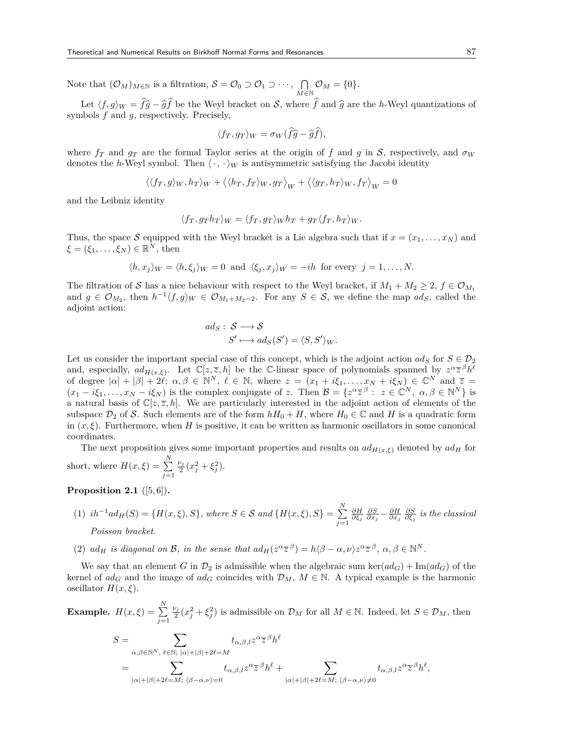Note that  $(\mathcal{O}_M)_{M \in \mathbb{N}}$  is a filtration,  $\mathcal{S} = \mathcal{O}_0 \supset \mathcal{O}_1 \supset \cdots$ ,  $\bigcap$ *M∈*N  $\mathcal{O}_M = \{0\}.$ 

Let  $\langle f, g \rangle_W = \hat{f} \hat{g} - \hat{g} \hat{f}$  be the Weyl bracket on *S*, where  $\hat{f}$  and  $\hat{g}$  are the *h*-Weyl quantizations of symbols *f* and *g*, respectively. Precisely,

$$
\langle f_T, g_T \rangle_W = \sigma_W (\widehat{f}\widehat{g} - \widehat{g}\widehat{f}),
$$

where  $f_T$  and  $g_T$  are the formal Taylor series at the origin of *f* and *g* in *S*, respectively, and  $\sigma_W$ denotes the *h*-Weyl symbol. Then  $\langle \cdot, \cdot \rangle_W$  is antisymmetric satisfying the Jacobi identity

$$
\left\langle \langle f_T,g\rangle_W,h_T\rangle_W+\left\langle \langle h_T,f_T\rangle_W,g_T\right\rangle_W+\left\langle \langle g_T,h_T\rangle_W,f_T\right\rangle_W=0\right\rangle
$$

and the Leibniz identity

$$
\langle f_T, g_T h_T \rangle_W = \langle f_T, g_T \rangle_W h_T + g_T \langle f_T, h_T \rangle_W.
$$

Thus, the space *S* equipped with the Weyl bracket is a Lie algebra such that if  $x = (x_1, \ldots, x_N)$  and  $\xi = (\xi_1, \ldots, \xi_N) \in \mathbb{R}^N$ , then

$$
\langle h, x_j \rangle_W = \langle h, \xi_j \rangle_W = 0
$$
 and  $\langle \xi_j, x_j \rangle_W = -ih$  for every  $j = 1, ..., N$ .

The filtration of *S* has a nice behaviour with respect to the Weyl bracket, if  $M_1 + M_2 \geq 2$ ,  $f \in \mathcal{O}_{M_1}$ and  $g \in \mathcal{O}_{M_2}$ , then  $h^{-1}\langle f, g \rangle_W \in \mathcal{O}_{M_1 + M_2 - 2}$ . For any  $S \in \mathcal{S}$ , we define the map  $ad_S$ , called the adjoint action:

$$
ad_S: S \longrightarrow S
$$
  

$$
S' \longmapsto ad_S(S') = \langle S, S' \rangle_W.
$$

Let us consider the important special case of this concept, which is the adjoint action  $ad_S$  for  $S \in \mathcal{D}_2$ and, especially,  $ad_{H(x,\xi)}$ . Let  $\mathbb{C}[z,\overline{z},h]$  be the C-linear space of polynomials spanned by  $z^{\alpha}\overline{z}^{\beta}h^{\ell}$ of degree  $|\alpha| + |\beta| + 2\ell$ ;  $\alpha, \beta \in \mathbb{N}^N$ ,  $\ell \in \mathbb{N}$ , where  $z = (x_1 + i\xi_1, \dots, x_N + i\xi_N) \in \mathbb{C}^N$  and  $\overline{z} =$  $(x_1-i\xi_1,\ldots,x_N-i\xi_N)$  is the complex conjugate of z. Then  $\mathcal{B}=\{z^{\alpha}\overline{z}^{\beta}: z\in\mathbb{C}^N, \alpha,\beta\in\mathbb{N}^N\}$  is a natural basis of  $\mathbb{C}[z,\overline{z},h]$ . We are particularly interested in the adjoint action of elements of the subspace  $\mathcal{D}_2$  of *S*. Such elements are of the form  $hH_0 + H$ , where  $H_0 \in \mathbb{C}$  and *H* is a quadratic form in  $(x, \xi)$ . Furthermore, when *H* is positive, it can be written as harmonic oscillators in some canonical coordinates.

The next proposition gives some important properties and results on  $ad_{H(x,\xi)}$  denoted by  $ad_H$  for short, where  $H(x,\xi) = \sum_{n=1}^{N}$ *j*=1  $\frac{\nu_j}{2}(x_j^2 + \xi_j^2).$ 

### **Proposition 2.1** ([5,6])**.**

- $(1)$   $ih^{-1}ad_H(S) = {H(x, \xi), S}$ , where  $S \in \mathcal{S}$  and  ${H(x, \xi), S} = \sum^N$ *j*=1  $\frac{\partial H}{\partial \xi_j}$   $\frac{\partial S}{\partial x_j} - \frac{\partial H}{\partial x_j}$   $\frac{\partial S}{\partial \xi_j}$  *is the classical Poisson bracket.*
- (2)  $ad_H$  is diagonal on B, in the sense that  $ad_H(z^{\alpha \overline{z}}^{\beta}) = h(\beta \alpha, \nu)z^{\alpha \overline{z}}^{\beta}, \alpha, \beta \in \mathbb{N}^N$ .

We say that an element *G* in  $\mathcal{D}_2$  is admissible when the algebraic sum ker( $ad_G$ ) + Im( $ad_G$ ) of the kernel of  $ad_G$  and the image of  $ad_G$  coincides with  $\mathcal{D}_M$ ,  $M \in \mathbb{N}$ . A typical example is the harmonic oscillator  $H(x,\xi)$ .

**Example.** 
$$
H(x,\xi) = \sum_{j=1}^{N} \frac{\nu_j}{2} (x_j^2 + \xi_j^2)
$$
 is admissible on  $\mathcal{D}_M$  for all  $M \in \mathbb{N}$ . Indeed, let  $S \in \mathcal{D}_M$ , then

$$
S = \sum_{\alpha,\beta \in \mathbb{N}^N, \ \ell \in \mathbb{N}; \ |\alpha| + |\beta| + 2\ell = M} t_{\alpha,\beta,l} z^{\alpha} \overline{z}^{\beta} h^{\ell}
$$
  
= 
$$
\sum_{|\alpha| + |\beta| + 2\ell = M; \ \langle \beta - \alpha, \nu \rangle = 0} t_{\alpha,\beta,l} z^{\alpha} \overline{z}^{\beta} h^{\ell} + \sum_{|\alpha| + |\beta| + 2\ell = M; \ \langle \beta - \alpha, \nu \rangle \neq 0} t_{\alpha,\beta,l} z^{\alpha} \overline{z}^{\beta} h^{\ell},
$$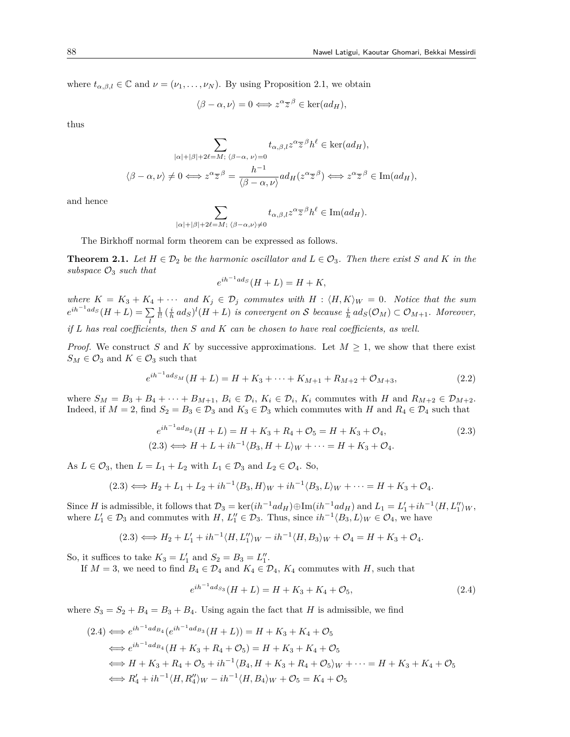where  $t_{\alpha,\beta,l} \in \mathbb{C}$  and  $\nu = (\nu_1, \ldots, \nu_N)$ . By using Proposition 2.1, we obtain

$$
\langle \beta - \alpha, \nu \rangle = 0 \Longleftrightarrow z^{\alpha} \overline{z}^{\beta} \in \ker(ad_H),
$$

thus

$$
\sum_{|\alpha|+|\beta|+2\ell=M; \ \langle \beta-\alpha,\nu\rangle=0} t_{\alpha,\beta,l} z^{\alpha} \overline{z}^{\beta} h^{\ell} \in \ker(ad_H),
$$
  

$$
\langle \beta-\alpha,\nu\rangle \neq 0 \Longleftrightarrow z^{\alpha} \overline{z}^{\beta} = \frac{h^{-1}}{\langle \beta-\alpha,\nu\rangle} ad_H(z^{\alpha} \overline{z}^{\beta}) \Longleftrightarrow z^{\alpha} \overline{z}^{\beta} \in \text{Im}(ad_H),
$$

and hence

$$
\sum_{|\alpha|+|\beta|+2\ell=M; \ \langle \beta-\alpha,\nu\rangle \neq 0} t_{\alpha,\beta,l} z^{\alpha} \overline{z}^{\beta} h^{\ell} \in \text{Im}(ad_H).
$$

The Birkhoff normal form theorem can be expressed as follows.

**Theorem 2.1.** Let  $H \in \mathcal{D}_2$  be the harmonic oscillator and  $L \in \mathcal{O}_3$ . Then there exist *S* and *K* in the *subspace O*<sup>3</sup> *such that*

$$
e^{ih^{-1}ad_S}(H+L) = H+K,
$$

*where*  $K = K_3 + K_4 + \cdots$  *and*  $K_j \in \mathcal{D}_j$  *commutes with*  $H : \langle H, K \rangle_W = 0$ *. Notice that the sum*  $e^{ih^{-1}ad_S}(H+L) = \sum$ *l*  $\frac{1}{l!}$   $(\frac{i}{h}ad_S)^l(H+L)$  *is convergent on S because*  $\frac{i}{h}ad_S(\mathcal{O}_M) \subset \mathcal{O}_{M+1}$ *. Moreover, if L has real coefficients, then S and K can be chosen to have real coefficients, as well.*

*Proof.* We construct *S* and *K* by successive approximations. Let  $M \geq 1$ , we show that there exist  $S_M \in \mathcal{O}_3$  and  $K \in \mathcal{O}_3$  such that

$$
e^{ih^{-1}ad_{SM}}(H+L) = H + K_3 + \dots + K_{M+1} + R_{M+2} + \mathcal{O}_{M+3},\tag{2.2}
$$

where  $S_M = B_3 + B_4 + \cdots + B_{M+1}, B_i \in \mathcal{D}_i, K_i \in \mathcal{D}_i, K_i$  commutes with H and  $R_{M+2} \in \mathcal{D}_{M+2}$ . Indeed, if  $M = 2$ , find  $S_2 = B_3 \in \mathcal{D}_3$  and  $K_3 \in \mathcal{D}_3$  which commutes with *H* and  $R_4 \in \mathcal{D}_4$  such that

$$
e^{ih^{-1}ad_{B_2}}(H+L) = H + K_3 + R_4 + \mathcal{O}_5 = H + K_3 + \mathcal{O}_4,
$$
  
(2.3) 
$$
\iff H + L + ih^{-1} \langle B_3, H + L \rangle_W + \dots = H + K_3 + \mathcal{O}_4.
$$
 (2.3)

As  $L \in \mathcal{O}_3$ , then  $L = L_1 + L_2$  with  $L_1 \in \mathcal{D}_3$  and  $L_2 \in \mathcal{O}_4$ . So,

$$
(2.3) \Longleftrightarrow H_2 + L_1 + L_2 + ih^{-1} \langle B_3, H \rangle_W + ih^{-1} \langle B_3, L \rangle_W + \cdots = H + K_3 + \mathcal{O}_4.
$$

Since H is admissible, it follows that  $\mathcal{D}_3 = \ker(ih^{-1}ad_H) \oplus \text{Im}(ih^{-1}ad_H)$  and  $L_1 = L'_1 + ih^{-1} \langle H, L''_1 \rangle_W$ , where  $L'_1 \in \mathcal{D}_3$  and commutes with  $H, L''_1 \in \mathcal{D}_3$ . Thus, since  $ih^{-1}\langle B_3, L \rangle_W \in \mathcal{O}_4$ , we have

$$
(2.3) \Longleftrightarrow H_2 + L_1' + ih^{-1} \langle H, L_1'' \rangle_W - ih^{-1} \langle H, B_3 \rangle_W + \mathcal{O}_4 = H + K_3 + \mathcal{O}_4.
$$

So, it suffices to take  $K_3 = L'_1$  and  $S_2 = B_3 = L''_1$ .

If  $M = 3$ , we need to find  $B_4 \in \mathcal{D}_4$  and  $K_4 \in \mathcal{D}_4$ ,  $K_4$  commutes with *H*, such that

$$
e^{ih^{-1}ad_{S_3}}(H+L) = H + K_3 + K_4 + \mathcal{O}_5,\tag{2.4}
$$

where  $S_3 = S_2 + B_4 = B_3 + B_4$ . Using again the fact that *H* is admissible, we find

$$
(2.4) \Leftrightarrow e^{ih^{-1}ad_{B_4}}(e^{ih^{-1}ad_{B_3}}(H+L)) = H + K_3 + K_4 + \mathcal{O}_5
$$
  
\n
$$
\Leftrightarrow e^{ih^{-1}ad_{B_4}}(H + K_3 + R_4 + \mathcal{O}_5) = H + K_3 + K_4 + \mathcal{O}_5
$$
  
\n
$$
\Leftrightarrow H + K_3 + R_4 + \mathcal{O}_5 + ih^{-1} \langle B_4, H + K_3 + R_4 + \mathcal{O}_5 \rangle_W + \dots = H + K_3 + K_4 + \mathcal{O}_5
$$
  
\n
$$
\Leftrightarrow R'_4 + ih^{-1} \langle H, R''_4 \rangle_W - ih^{-1} \langle H, B_4 \rangle_W + \mathcal{O}_5 = K_4 + \mathcal{O}_5
$$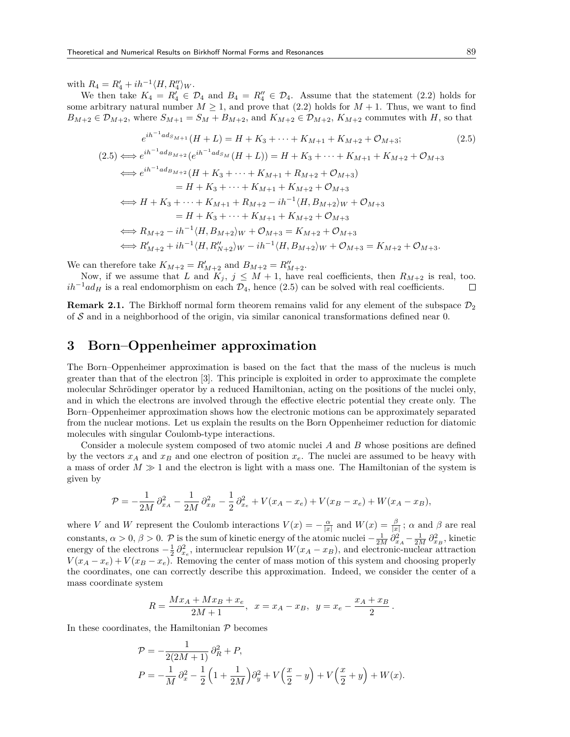with  $R_4 = R'_4 + ih^{-1} \langle H, R''_4 \rangle_W$ .

We then take  $K_4 = R'_4 \in \mathcal{D}_4$  and  $B_4 = R''_4 \in \mathcal{D}_4$ . Assume that the statement (2.2) holds for some arbitrary natural number  $M \geq 1$ , and prove that (2.2) holds for  $M + 1$ . Thus, we want to find  $B_{M+2} \in \mathcal{D}_{M+2}$ , where  $S_{M+1} = S_M + B_{M+2}$ , and  $K_{M+2} \in \mathcal{D}_{M+2}$ ,  $K_{M+2}$  commutes with *H*, so that

$$
e^{ih^{-1}ad_{SM+1}}(H+L) = H + K_3 + \dots + K_{M+1} + K_{M+2} + \mathcal{O}_{M+3};
$$
\n
$$
(2.5) \iff e^{ih^{-1}ad_{BM+2}}(e^{ih^{-1}ad_{SM}}(H+L)) = H + K_3 + \dots + K_{M+1} + K_{M+2} + \mathcal{O}_{M+3}
$$
\n
$$
\iff e^{ih^{-1}ad_{BM+2}}(H + K_3 + \dots + K_{M+1} + R_{M+2} + \mathcal{O}_{M+3})
$$
\n
$$
= H + K_3 + \dots + K_{M+1} + K_{M+2} + \mathcal{O}_{M+3}
$$
\n
$$
\iff H + K_3 + \dots + K_{M+1} + R_{M+2} - ih^{-1} \langle H, B_{M+2} \rangle_W + \mathcal{O}_{M+3}
$$
\n
$$
= H + K_3 + \dots + K_{M+1} + K_{M+2} + \mathcal{O}_{M+3}
$$
\n
$$
\iff R_{M+2} - ih^{-1} \langle H, B_{M+2} \rangle_W + \mathcal{O}_{M+3} = K_{M+2} + \mathcal{O}_{M+3}
$$
\n
$$
\iff R_{M+2}' + ih^{-1} \langle H, R_{M+2}'' \rangle_W - ih^{-1} \langle H, B_{M+2} \rangle_W + \mathcal{O}_{M+3} = K_{M+2} + \mathcal{O}_{M+3}.
$$
\n
$$
(2.5)
$$

We can therefore take  $K_{M+2} = R'_{M+2}$  and  $B_{M+2} = R''_{M+2}$ .

Now, if we assume that *L* and  $K_j$ ,  $j \leq M+1$ , have real coefficients, then  $R_{M+2}$  is real, too.  $ih^{-1}ad_H$  is a real endomorphism on each  $\mathcal{D}_4$ , hence (2.5) can be solved with real coefficients. П

**Remark 2.1.** The Birkhoff normal form theorem remains valid for any element of the subspace  $\mathcal{D}_2$ of *S* and in a neighborhood of the origin, via similar canonical transformations defined near 0.

## **3 Born–Oppenheimer approximation**

The Born–Oppenheimer approximation is based on the fact that the mass of the nucleus is much greater than that of the electron [3]. This principle is exploited in order to approximate the complete molecular Schrödinger operator by a reduced Hamiltonian, acting on the positions of the nuclei only, and in which the electrons are involved through the effective electric potential they create only. The Born–Oppenheimer approximation shows how the electronic motions can be approximately separated from the nuclear motions. Let us explain the results on the Born Oppenheimer reduction for diatomic molecules with singular Coulomb-type interactions.

Consider a molecule system composed of two atomic nuclei *A* and *B* whose positions are defined by the vectors  $x_A$  and  $x_B$  and one electron of position  $x_e$ . The nuclei are assumed to be heavy with a mass of order  $M \gg 1$  and the electron is light with a mass one. The Hamiltonian of the system is given by

$$
\mathcal{P} = -\frac{1}{2M} \partial_{x_A}^2 - \frac{1}{2M} \partial_{x_B}^2 - \frac{1}{2} \partial_{x_e}^2 + V(x_A - x_e) + V(x_B - x_e) + W(x_A - x_B),
$$

where *V* and *W* represent the Coulomb interactions  $V(x) = -\frac{\alpha}{|x|}$  and  $W(x) = \frac{\beta}{|x|}$ ;  $\alpha$  and  $\beta$  are real constants,  $\alpha > 0$ ,  $\beta > 0$ .  $\mathcal{P}$  is the sum of kinetic energy of the atomic nuclei  $-\frac{1}{2M}\frac{\partial^2}{\partial x^4} - \frac{1}{2M}\frac{\partial^2}{\partial x^2}$ , kinetic energy of the electrons  $-\frac{1}{2}\partial_{x_e}^2$ , internuclear repulsion  $W(x_A - x_B)$ , and electronic-nuclear attraction  $V(x_A - x_e) + V(x_B - x_e)$ . Removing the center of mass motion of this system and choosing properly the coordinates, one can correctly describe this approximation. Indeed, we consider the center of a mass coordinate system

$$
R=\frac{Mx_A+Mx_B+x_e}{2M+1},\;\;x=x_A-x_B,\;\;y=x_e-\frac{x_A+x_B}{2}\,.
$$

In these coordinates, the Hamiltonian *P* becomes

$$
\mathcal{P} = -\frac{1}{2(2M+1)} \partial_R^2 + P,
$$
  
\n
$$
P = -\frac{1}{M} \partial_x^2 - \frac{1}{2} \left( 1 + \frac{1}{2M} \right) \partial_y^2 + V \left( \frac{x}{2} - y \right) + V \left( \frac{x}{2} + y \right) + W(x).
$$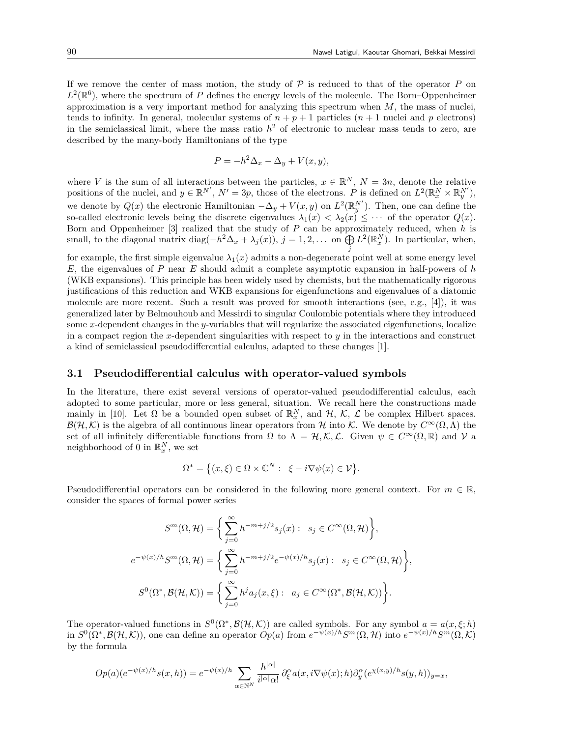If we remove the center of mass motion, the study of  $P$  is reduced to that of the operator  $P$  on  $L^2(\mathbb{R}^6)$ , where the spectrum of *P* defines the energy levels of the molecule. The Born–Oppenheimer approximation is a very important method for analyzing this spectrum when *M*, the mass of nuclei, tends to infinity. In general, molecular systems of  $n + p + 1$  particles  $(n + 1$  nuclei and *p* electrons) in the semiclassical limit, where the mass ratio  $h<sup>2</sup>$  of electronic to nuclear mass tends to zero, are described by the many-body Hamiltonians of the type

$$
P = -h^2 \Delta_x - \Delta_y + V(x, y),
$$

where *V* is the sum of all interactions between the particles,  $x \in \mathbb{R}^N$ ,  $N = 3n$ , denote the relative positions of the nuclei, and  $y \in \mathbb{R}^{N'}$ ,  $N' = 3p$ , those of the electrons. *P* is defined on  $L^2(\mathbb{R}^N_x \times \mathbb{R}^{N'}_y)$ , we denote by  $Q(x)$  the electronic Hamiltonian  $-\Delta_y + V(x, y)$  on  $L^2(\mathbb{R}_y^{N'})$ . Then, one can define the so-called electronic levels being the discrete eigenvalues  $\lambda_1(x) < \lambda_2(x) \leq \cdots$  of the operator  $Q(x)$ . Born and Oppenheimer [3] realized that the study of *P* can be approximately reduced, when *h* is small, to the diagonal matrix diag $(-h^2\Delta_x + \lambda_j(x))$ ,  $j = 1, 2, \dots$  on  $\bigoplus_j$  $L^2(\mathbb{R}^N_x)$ . In particular, when,

for example, the first simple eigenvalue  $\lambda_1(x)$  admits a non-degenerate point well at some energy level *E*, the eigenvalues of *P* near *E* should admit a complete asymptotic expansion in half-powers of *h* (WKB expansions). This principle has been widely used by chemists, but the mathematically rigorous justifications of this reduction and WKB expansions for eigenfunctions and eigenvalues of a diatomic molecule are more recent. Such a result was proved for smooth interactions (see, e.g., [4]), it was generalized later by Belmouhoub and Messirdi to singular Coulombic potentials where they introduced some *x*-dependent changes in the *y*-variables that will regularize the associated eigenfunctions, localize in a compact region the *x*-dependent singularities with respect to  $\eta$  in the interactions and construct a kind of semiclassical pseudodiffcrcntial calculus, adapted to these changes [1].

### **3.1 Pseudodifferential calculus with operator-valued symbols**

In the literature, there exist several versions of operator-valued pseudodifferential calculus, each adopted to some particular, more or less general, situation. We recall here the constructions made mainly in [10]. Let  $\Omega$  be a bounded open subset of  $\mathbb{R}_x^N$ , and  $\mathcal{H}$ ,  $\mathcal{K}$ ,  $\mathcal{L}$  be complex Hilbert spaces.  $B(\mathcal{H}, \mathcal{K})$  is the algebra of all continuous linear operators from *H* into *K*. We denote by  $C^{\infty}(\Omega, \Lambda)$  the set of all infinitely differentiable functions from  $\Omega$  to  $\Lambda = \mathcal{H}, \mathcal{K}, \mathcal{L}$ . Given  $\psi \in C^{\infty}(\Omega, \mathbb{R})$  and  $\mathcal{V}$  a neighborhood of 0 in  $\mathbb{R}_x^N$ , we set

$$
\Omega^* = \big\{ (x,\xi) \in \Omega \times \mathbb{C}^N : \ \xi - i \nabla \psi(x) \in \mathcal{V} \big\}.
$$

Pseudodifferential operators can be considered in the following more general context. For  $m \in \mathbb{R}$ , consider the spaces of formal power series

$$
S^{m}(\Omega, \mathcal{H}) = \left\{ \sum_{j=0}^{\infty} h^{-m+j/2} s_{j}(x) : s_{j} \in C^{\infty}(\Omega, \mathcal{H}) \right\},
$$
  

$$
e^{-\psi(x)/h} S^{m}(\Omega, \mathcal{H}) = \left\{ \sum_{j=0}^{\infty} h^{-m+j/2} e^{-\psi(x)/h} s_{j}(x) : s_{j} \in C^{\infty}(\Omega, \mathcal{H}) \right\},
$$
  

$$
S^{0}(\Omega^{*}, \mathcal{B}(\mathcal{H}, \mathcal{K})) = \left\{ \sum_{j=0}^{\infty} h^{j} a_{j}(x, \xi) : a_{j} \in C^{\infty}(\Omega^{*}, \mathcal{B}(\mathcal{H}, \mathcal{K})) \right\}.
$$

The operator-valued functions in  $S^0(\Omega^*, \mathcal{B}(\mathcal{H}, \mathcal{K}))$  are called symbols. For any symbol  $a = a(x, \xi; h)$ in  $S^0(\Omega^*, \mathcal{B}(\mathcal{H}, \mathcal{K}))$ , one can define an operator  $Op(a)$  from  $e^{-\psi(x)/h}S^m(\Omega, \mathcal{H})$  into  $e^{-\psi(x)/h}S^m(\Omega, \mathcal{K})$ by the formula

$$
Op(a)(e^{-\psi(x)/h}s(x,h)) = e^{-\psi(x)/h} \sum_{\alpha \in \mathbb{N}^N} \frac{h^{|\alpha|}}{i^{|\alpha|} \alpha!} \partial_{\xi}^{\alpha} a(x,i \nabla \psi(x);h) \partial_y^{\alpha} (e^{\chi(x,y)/h}s(y,h))_{y=x},
$$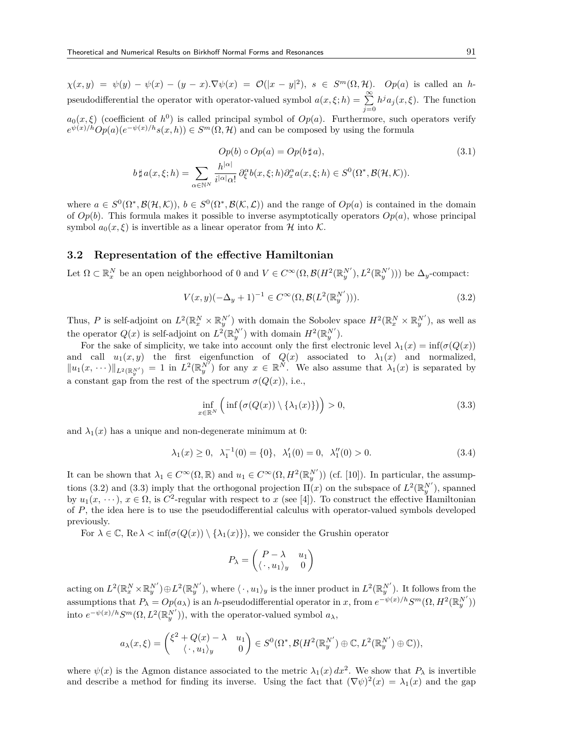$\chi(x,y) = \psi(y) - \psi(x) - (y-x) \cdot \nabla \psi(x) = \mathcal{O}(|x-y|^2), s \in S^m(\Omega, \mathcal{H}).$  Op(a) is called an hpseudodifferential the operator with operator-valued symbol  $a(x, \xi; h) = \sum_{n=0}^{\infty} a_n^2$ *j*=0  $h^j a_j(x,\xi)$ . The function  $a_0(x,\xi)$  (coefficient of  $h^0$ ) is called principal symbol of  $Op(a)$ . Furthermore, such operators verify  $e^{\psi(x)/h}Op(a)(e^{-\psi(x)/h}s(x,h)) \in S^m(\Omega, \mathcal{H})$  and can be composed by using the formula

$$
Op(b) \circ Op(a) = Op(b \sharp a),
$$
  
\n
$$
b \sharp a(x,\xi;h) = \sum_{\alpha \in \mathbb{N}^N} \frac{h^{|\alpha|}}{i^{|\alpha|} \alpha!} \partial_{\xi}^{\alpha} b(x,\xi;h) \partial_x^{\alpha} a(x,\xi;h) \in S^0(\Omega^*, \mathcal{B}(\mathcal{H}, \mathcal{K})).
$$
\n
$$
(3.1)
$$

where  $a \in S^0(\Omega^*, \mathcal{B}(\mathcal{H}, \mathcal{K}))$ ,  $b \in S^0(\Omega^*, \mathcal{B}(\mathcal{K}, \mathcal{L}))$  and the range of  $Op(a)$  is contained in the domain of  $Op(b)$ . This formula makes it possible to inverse asymptotically operators  $Op(a)$ , whose principal symbol  $a_0(x,\xi)$  is invertible as a linear operator from  $\mathcal H$  into  $\mathcal K$ .

### **3.2 Representation of the effective Hamiltonian**

Let  $\Omega \subset \mathbb{R}^N_x$  be an open neighborhood of 0 and  $V \in C^{\infty}(\Omega, \mathcal{B}(H^2(\mathbb{R}^{N'}_y), L^2(\mathbb{R}^{N'}_y)))$  be  $\Delta_y$ -compact:

$$
V(x, y)(-\Delta_y + 1)^{-1} \in C^{\infty}(\Omega, \mathcal{B}(L^2(\mathbb{R}_y^{N'}))).
$$
\n(3.2)

Thus, *P* is self-adjoint on  $L^2(\mathbb{R}^N_x \times \mathbb{R}^{N'}_y)$  with domain the Sobolev space  $H^2(\mathbb{R}^N_x \times \mathbb{R}^{N'}_y)$ , as well as the operator  $Q(x)$  is self-adjoint on  $L^2(\mathbb{R}_y^{N'})$  with domain  $H^2(\mathbb{R}_y^{N'})$ .

For the sake of simplicity, we take into account only the first electronic level  $\lambda_1(x) = \inf(\sigma(Q(x)))$ and call  $u_1(x, y)$  the first eigenfunction of  $Q(x)$  associated to  $\lambda_1(x)$  and normalized,  $||u_1(x,\dots)||_{L^2(\mathbb{R}_y^{N'})}=1$  in  $L^2(\mathbb{R}_y^{N'})$  for any  $x\in\mathbb{R}^N$ . We also assume that  $\lambda_1(x)$  is separated by a constant gap from the rest of the spectrum  $\sigma(Q(x))$ , i.e.,

$$
\inf_{x \in \mathbb{R}^N} \left( \inf \left( \sigma(Q(x)) \setminus \{ \lambda_1(x) \} \right) \right) > 0,
$$
\n(3.3)

and  $\lambda_1(x)$  has a unique and non-degenerate minimum at 0:

$$
\lambda_1(x) \ge 0, \ \lambda_1^{-1}(0) = \{0\}, \ \lambda_1'(0) = 0, \ \lambda_1''(0) > 0.
$$
 (3.4)

It can be shown that  $\lambda_1 \in C^\infty(\Omega, \mathbb{R})$  and  $u_1 \in C^\infty(\Omega, H^2(\mathbb{R}_y^{N'}))$  (cf. [10]). In particular, the assumptions (3.2) and (3.3) imply that the orthogonal projection  $\Pi(x)$  on the subspace of  $L^2(\mathbb{R}^{N'}_y)$ , spanned by  $u_1(x, \dots), x \in \Omega$ , is  $C^2$ -regular with respect to *x* (see [4]). To construct the effective Hamiltonian of *P*, the idea here is to use the pseudodifferential calculus with operator-valued symbols developed previously.

For  $\lambda \in \mathbb{C}$ , Re  $\lambda < \inf(\sigma(Q(x)) \setminus {\lambda_1(x)}$ , we consider the Grushin operator

$$
P_{\lambda} = \begin{pmatrix} P - \lambda & u_1 \\ \langle \cdot, u_1 \rangle_y & 0 \end{pmatrix}
$$

acting on  $L^2(\mathbb{R}^N_x\times\mathbb{R}^{N'}_y)\oplus L^2(\mathbb{R}^{N'}_y)$ , where  $\langle\,\cdot\,,u_1\rangle_y$  is the inner product in  $L^2(\mathbb{R}^{N'}_y)$ . It follows from the assumptions that  $P_{\lambda} = Op(a_{\lambda})$  is an h-pseudodifferential operator in x, from  $e^{-\psi(x)/h}S^{m}(\Omega, H^{2}(\mathbb{R}_{y}^{N'}))$ into  $e^{-\psi(x)/h}S^m(\Omega, L^2(\mathbb{R}_y^{N'}))$ , with the operator-valued symbol  $a_\lambda$ ,

$$
a_{\lambda}(x,\xi) = \begin{pmatrix} \xi^2 + Q(x) - \lambda & u_1 \\ \langle \cdot, u_1 \rangle_y & 0 \end{pmatrix} \in S^0(\Omega^*, \mathcal{B}(H^2(\mathbb{R}_y^{N'}) \oplus \mathbb{C}, L^2(\mathbb{R}_y^{N'}) \oplus \mathbb{C})),
$$

where  $\psi(x)$  is the Agmon distance associated to the metric  $\lambda_1(x) dx^2$ . We show that  $P_\lambda$  is invertible and describe a method for finding its inverse. Using the fact that  $(\nabla \psi)^2(x) = \lambda_1(x)$  and the gap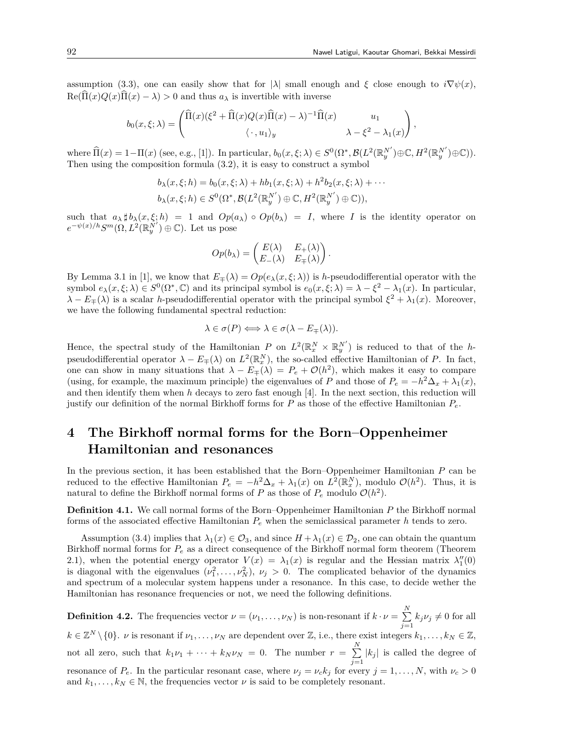assumption (3.3), one can easily show that for  $|\lambda|$  small enough and  $\xi$  close enough to  $i\nabla\psi(x)$ ,  $\text{Re}(\hat{\Pi}(x)Q(x)\hat{\Pi}(x) - \lambda) > 0$  and thus  $a_{\lambda}$  is invertible with inverse

$$
b_0(x,\xi;\lambda) = \begin{pmatrix} \widehat{\Pi}(x)(\xi^2 + \widehat{\Pi}(x)Q(x)\widehat{\Pi}(x) - \lambda)^{-1}\widehat{\Pi}(x) & u_1 \\ \langle \cdot, u_1 \rangle_y & \lambda - \xi^2 - \lambda_1(x) \end{pmatrix},
$$

where  $\widehat{\Pi}(x) = 1 - \Pi(x)$  (see, e.g., [1]). In particular,  $b_0(x,\xi;\lambda) \in S^0(\Omega^*, \mathcal{B}(L^2(\mathbb{R}_y^{N'}) \oplus \mathbb{C}, H^2(\mathbb{R}_y^{N'}) \oplus \mathbb{C}))$ . Then using the composition formula (3*.*2), it is easy to construct a symbol

$$
b_{\lambda}(x,\xi;h) = b_0(x,\xi;\lambda) + hb_1(x,\xi;\lambda) + h^2b_2(x,\xi;\lambda) + \cdots
$$
  

$$
b_{\lambda}(x,\xi;h) \in S^0(\Omega^*, \mathcal{B}(L^2(\mathbb{R}_y^{N'}) \oplus \mathbb{C}, H^2(\mathbb{R}_y^{N'}) \oplus \mathbb{C})),
$$

such that  $a_{\lambda} \sharp b_{\lambda}(x, \xi; h) = 1$  and  $Op(a_{\lambda}) \circ Op(b_{\lambda}) = I$ , where *I* is the identity operator on  $e^{-\psi(x)/h}S^m(\Omega, L^2(\mathbb{R}_y^{N'})\oplus\mathbb{C})$ . Let us pose

$$
Op(b_{\lambda}) = \begin{pmatrix} E(\lambda) & E_{+}(\lambda) \\ E_{-}(\lambda) & E_{+}(\lambda) \end{pmatrix}.
$$

By Lemma 3.1 in [1], we know that  $E_{\pm}(\lambda) = Op(e_{\lambda}(x,\xi;\lambda))$  is *h*-pseudodifferential operator with the symbol  $e_{\lambda}(x,\xi;\lambda) \in S^{0}(\Omega^{*},\mathbb{C})$  and its principal symbol is  $e_{0}(x,\xi;\lambda) = \lambda - \xi^{2} - \lambda_{1}(x)$ . In particular, *λ* −  $E$ <sub>*∓*</sub>(*λ*) is a scalar *h*-pseudodifferential operator with the principal symbol  $\xi^2 + \lambda_1(x)$ . Moreover, we have the following fundamental spectral reduction:

$$
\lambda \in \sigma(P) \Longleftrightarrow \lambda \in \sigma(\lambda - E_{\mp}(\lambda)).
$$

Hence, the spectral study of the Hamiltonian *P* on  $L^2(\mathbb{R}^N_x \times \mathbb{R}^{N'}_y)$  is reduced to that of the *h*pseudodifferential operator  $\lambda - E_{\mp}(\lambda)$  on  $L^2(\mathbb{R}^N_x)$ , the so-called effective Hamiltonian of *P*. In fact, one can show in many situations that  $\lambda - E_{\mp}(\lambda) = P_e + \mathcal{O}(h^2)$ , which makes it easy to compare (using, for example, the maximum principle) the eigenvalues of *P* and those of  $P_e = -h^2 \Delta_x + \lambda_1(x)$ , and then identify them when *h* decays to zero fast enough [4]. In the next section, this reduction will justify our definition of the normal Birkhoff forms for *P* as those of the effective Hamiltonian *Pe*.

# **4 The Birkhoff normal forms for the Born–Oppenheimer Hamiltonian and resonances**

In the previous section, it has been established that the Born–Oppenheimer Hamiltonian *P* can be reduced to the effective Hamiltonian  $P_e = -h^2 \Delta_x + \lambda_1(x)$  on  $L^2(\mathbb{R}^N_x)$ , modulo  $\mathcal{O}(h^2)$ . Thus, it is natural to define the Birkhoff normal forms of  $P$  as those of  $P_e$  modulo  $\mathcal{O}(h^2)$ .

**Definition 4.1.** We call normal forms of the Born–Oppenheimer Hamiltonian *P* the Birkhoff normal forms of the associated effective Hamiltonian *P<sup>e</sup>* when the semiclassical parameter *h* tends to zero.

Assumption (3.4) implies that  $\lambda_1(x) \in \mathcal{O}_3$ , and since  $H + \lambda_1(x) \in \mathcal{D}_2$ , one can obtain the quantum Birkhoff normal forms for *P<sup>e</sup>* as a direct consequence of the Birkhoff normal form theorem (Theorem 2.1), when the potential energy operator  $V(x) = \lambda_1(x)$  is regular and the Hessian matrix  $\lambda_1''(0)$ is diagonal with the eigenvalues  $(\nu_1^2, \ldots, \nu_N^2), \nu_j > 0$ . The complicated behavior of the dynamics and spectrum of a molecular system happens under a resonance. In this case, to decide wether the Hamiltonian has resonance frequencies or not, we need the following definitions.

**Definition 4.2.** The frequencies vector  $\nu = (\nu_1, \ldots, \nu_N)$  is non-resonant if  $k \cdot \nu = \sum^N$  $\sum_{j=1} k_j \nu_j \neq 0$  for all  $k \in \mathbb{Z}^N \setminus \{0\}$ . *v* is resonant if  $\nu_1, \ldots, \nu_N$  are dependent over  $\mathbb{Z}$ , i.e., there exist integers  $k_1, \ldots, k_N \in \mathbb{Z}$ , not all zero, such that  $k_1\nu_1 + \cdots + k_N\nu_N = 0$ . The number  $r = \sum_{i=1}^N$  $\sum_{j=1}$  | $k_j$ | is called the degree of resonance of  $P_e$ . In the particular resonant case, where  $\nu_j = \nu_c k_j$  for every  $j = 1, ..., N$ , with  $\nu_c > 0$ and  $k_1, \ldots, k_N \in \mathbb{N}$ , the frequencies vector  $\nu$  is said to be completely resonant.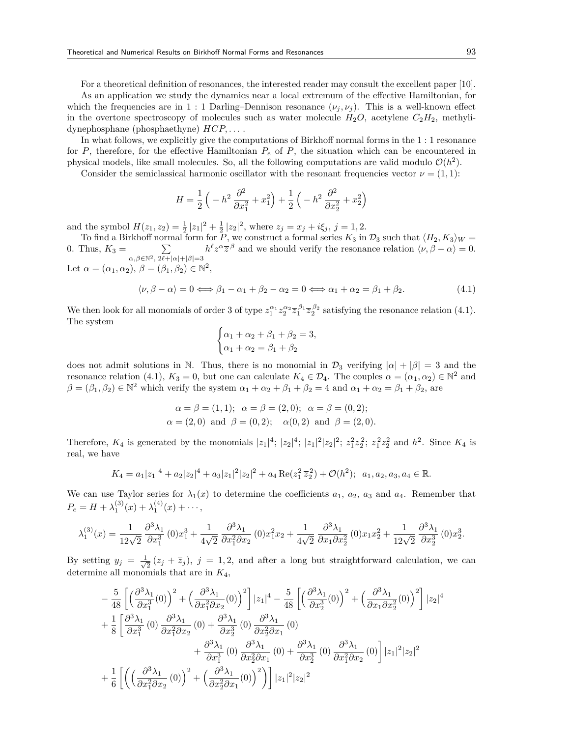For a theoretical definition of resonances, the interested reader may consult the excellent paper [10].

As an application we study the dynamics near a local extremum of the effective Hamiltonian, for which the frequencies are in 1 : 1 Darling–Dennison resonance  $(\nu_i, \nu_j)$ . This is a well-known effect in the overtone spectroscopy of molecules such as water molecule  $H_2O$ , acetylene  $C_2H_2$ , methylidynephosphane (phosphaethyne) *HCP, . . .* .

In what follows, we explicitly give the computations of Birkhoff normal forms in the 1 : 1 resonance for *P*, therefore, for the effective Hamiltonian  $P_e$  of *P*, the situation which can be encountered in physical models, like small molecules. So, all the following computations are valid modulo  $\mathcal{O}(h^2)$ .

Consider the semiclassical harmonic oscillator with the resonant frequencies vector  $\nu = (1, 1)$ :

$$
H = \frac{1}{2} \left( -h^2 \frac{\partial^2}{\partial x_1^2} + x_1^2 \right) + \frac{1}{2} \left( -h^2 \frac{\partial^2}{\partial x_2^2} + x_2^2 \right)
$$

and the symbol  $H(z_1, z_2) = \frac{1}{2} |z_1|^2 + \frac{1}{2} |z_2|^2$ , where  $z_j = x_j + i\xi_j$ ,  $j = 1, 2$ .

To find a Birkhoff normal form for  $\overline{P}$ , we construct a formal series  $K_3$  in  $\mathcal{D}_3$  such that  $\langle H_2, K_3 \rangle_W =$ 0. Thus,  $K_3 = \sum$ *α,β∈*N2*,* 2*ℓ*+*|α|*+*|β|*=3  $h^{\ell}z^{\alpha}\overline{z}^{\beta}$  and we should verify the resonance relation  $\langle \nu, \beta - \alpha \rangle = 0$ . Let  $\alpha = (\alpha_1, \alpha_2), \ \beta = (\beta_1, \beta_2) \in \mathbb{N}^2$ ,

$$
\langle \nu, \beta - \alpha \rangle = 0 \Longleftrightarrow \beta_1 - \alpha_1 + \beta_2 - \alpha_2 = 0 \Longleftrightarrow \alpha_1 + \alpha_2 = \beta_1 + \beta_2. \tag{4.1}
$$

We then look for all monomials of order 3 of type  $z_1^{\alpha_1} z_2^{\alpha_2} \overline{z}_1^{\beta_1} \overline{z}_2^{\beta_2}$  satisfying the resonance relation (4.1). The system

$$
\begin{cases} \alpha_1 + \alpha_2 + \beta_1 + \beta_2 = 3, \\ \alpha_1 + \alpha_2 = \beta_1 + \beta_2 \end{cases}
$$

does not admit solutions in N. Thus, there is no monomial in  $\mathcal{D}_3$  verifying  $|\alpha| + |\beta| = 3$  and the resonance relation (4.1),  $K_3 = 0$ , but one can calculate  $K_4 \in \mathcal{D}_4$ . The couples  $\alpha = (\alpha_1, \alpha_2) \in \mathbb{N}^2$  and  $\beta = (\beta_1, \beta_2) \in \mathbb{N}^2$  which verify the system  $\alpha_1 + \alpha_2 + \beta_1 + \beta_2 = 4$  and  $\alpha_1 + \alpha_2 = \beta_1 + \beta_2$ , are

$$
\alpha = \beta = (1, 1); \ \alpha = \beta = (2, 0); \ \alpha = \beta = (0, 2);
$$
  
\n $\alpha = (2, 0)$  and  $\beta = (0, 2); \ \alpha(0, 2)$  and  $\beta = (2, 0).$ 

Therefore,  $K_4$  is generated by the monomials  $|z_1|^4$ ;  $|z_2|^4$ ;  $|z_1|^2|z_2|^2$ ;  $z_1^2\overline{z}_2^2$ ;  $\overline{z}_1^2z_2^2$  and  $h^2$ . Since  $K_4$  is real, we have

$$
K_4 = a_1 |z_1|^4 + a_2 |z_2|^4 + a_3 |z_1|^2 |z_2|^2 + a_4 \operatorname{Re}(z_1^2 \overline{z}_2^2) + \mathcal{O}(h^2); \ \ a_1, a_2, a_3, a_4 \in \mathbb{R}.
$$

We can use Taylor series for  $\lambda_1(x)$  to determine the coefficients  $a_1, a_2, a_3$  and  $a_4$ . Remember that  $P_e = H + \lambda_1^{(3)}(x) + \lambda_1^{(4)}(x) + \cdots,$ 

$$
\lambda_1^{(3)}(x) = \frac{1}{12\sqrt{2}} \frac{\partial^3 \lambda_1}{\partial x_1^3} (0) x_1^3 + \frac{1}{4\sqrt{2}} \frac{\partial^3 \lambda_1}{\partial x_1^2 \partial x_2} (0) x_1^2 x_2 + \frac{1}{4\sqrt{2}} \frac{\partial^3 \lambda_1}{\partial x_1 \partial x_2^2} (0) x_1 x_2^2 + \frac{1}{12\sqrt{2}} \frac{\partial^3 \lambda_1}{\partial x_2^3} (0) x_2^3.
$$

By setting  $y_j = \frac{1}{\sqrt{2}}$  $\frac{1}{2}(z_j + \overline{z}_j)$ ,  $j = 1, 2$ , and after a long but straightforward calculation, we can determine all monomials that are in *K*4,

$$
-\frac{5}{48}\left[\left(\frac{\partial^3\lambda_1}{\partial x_1^3}(0)\right)^2+\left(\frac{\partial^3\lambda_1}{\partial x_1^2\partial x_2}(0)\right)^2\right]|z_1|^4-\frac{5}{48}\left[\left(\frac{\partial^3\lambda_1}{\partial x_2^3}(0)\right)^2+\left(\frac{\partial^3\lambda_1}{\partial x_1\partial x_2^2}(0)\right)^2\right]|z_2|^4
$$
  
+
$$
\frac{1}{8}\left[\frac{\partial^3\lambda_1}{\partial x_1^3}(0)\frac{\partial^3\lambda_1}{\partial x_1^2\partial x_2}(0)+\frac{\partial^3\lambda_1}{\partial x_2^3}(0)\frac{\partial^3\lambda_1}{\partial x_2^2\partial x_1}(0)
$$

$$
+\frac{\partial^3\lambda_1}{\partial x_1^3}(0)\frac{\partial^3\lambda_1}{\partial x_2^2\partial x_1}(0)+\frac{\partial^3\lambda_1}{\partial x_2^3}(0)\frac{\partial^3\lambda_1}{\partial x_1^2\partial x_2}(0)\right]|z_1|^2|z_2|^2
$$

$$
+\frac{1}{6}\left[\left(\left(\frac{\partial^3\lambda_1}{\partial x_1^2\partial x_2}(0)\right)^2+\left(\frac{\partial^3\lambda_1}{\partial x_2^2\partial x_1}(0)\right)^2\right)||z_1|^2|z_2|^2
$$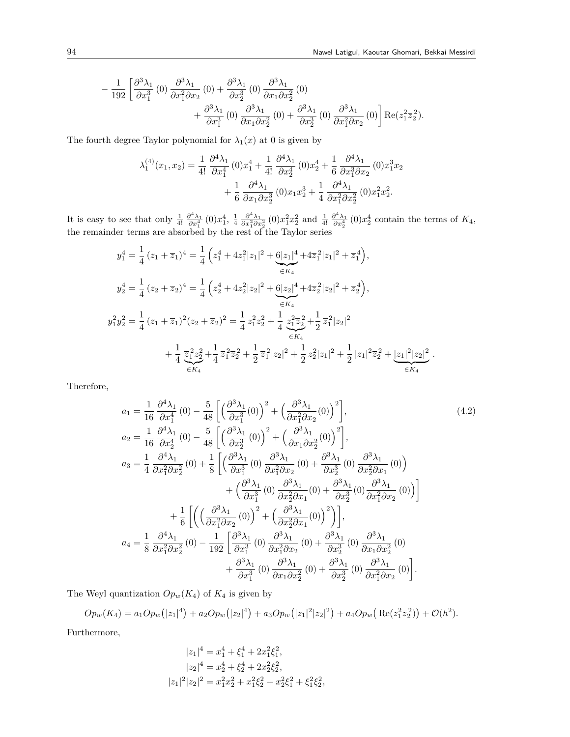$$
-\frac{1}{192} \left[ \frac{\partial^3 \lambda_1}{\partial x_1^3} (0) \frac{\partial^3 \lambda_1}{\partial x_1^2 \partial x_2} (0) + \frac{\partial^3 \lambda_1}{\partial x_2^3} (0) \frac{\partial^3 \lambda_1}{\partial x_1 \partial x_2^2} (0) + \frac{\partial^3 \lambda_1}{\partial x_1^3} (0) \frac{\partial^3 \lambda_1}{\partial x_1 \partial x_2^2} (0) + \frac{\partial^3 \lambda_1}{\partial x_2^3} (0) \frac{\partial^3 \lambda_1}{\partial x_1^2 \partial x_2} (0) \right] \text{Re}(z_1^2 \overline{z}_2^2).
$$

The fourth degree Taylor polynomial for  $\lambda_1(x)$  at 0 is given by

$$
\lambda_1^{(4)}(x_1, x_2) = \frac{1}{4!} \frac{\partial^4 \lambda_1}{\partial x_1^4} (0) x_1^4 + \frac{1}{4!} \frac{\partial^4 \lambda_1}{\partial x_2^4} (0) x_2^4 + \frac{1}{6} \frac{\partial^4 \lambda_1}{\partial x_1^3 \partial x_2} (0) x_1^3 x_2 + \frac{1}{6} \frac{\partial^4 \lambda_1}{\partial x_1 \partial x_2^3} (0) x_1 x_2^3 + \frac{1}{4} \frac{\partial^4 \lambda_1}{\partial x_1^2 \partial x_2^2} (0) x_1^2 x_2^2.
$$

It is easy to see that only  $\frac{1}{4!} \frac{\partial^4 \lambda_1}{\partial x_1^4} (0) x_1^4$ ,  $\frac{1}{4} \frac{\partial^4 \lambda_1}{\partial x_1^2 \partial x_2^2} (0) x_1^2 x_2^2$  and  $\frac{1}{4!} \frac{\partial^4 \lambda_1}{\partial x_2^4} (0) x_2^4$  contain the terms of  $K_4$ , the remainder terms are absorbed by the rest of the Taylor series

$$
y_1^4 = \frac{1}{4} (z_1 + \overline{z}_1)^4 = \frac{1}{4} \left( z_1^4 + 4z_1^2 |z_1|^2 + \frac{6|z_1|^4}{\epsilon K_4} + 4\overline{z}_1^2 |z_1|^2 + \overline{z}_1^4 \right),
$$
  
\n
$$
y_2^4 = \frac{1}{4} (z_2 + \overline{z}_2)^4 = \frac{1}{4} \left( z_2^4 + 4z_2^2 |z_2|^2 + \frac{6|z_2|^4}{\epsilon K_4} + 4\overline{z}_2^2 |z_2|^2 + \overline{z}_2^4 \right),
$$
  
\n
$$
y_1^2 y_2^2 = \frac{1}{4} (z_1 + \overline{z}_1)^2 (z_2 + \overline{z}_2)^2 = \frac{1}{4} z_1^2 z_2^2 + \frac{1}{4} \frac{z_1^2 \overline{z}_2^2}{\epsilon K_4} + \frac{1}{4} \frac{z_1^2 z_2^2}{\epsilon K_4} + \frac{1}{4} \frac{z_1^2 z_2^2}{\epsilon K_4} + \frac{1}{2} \overline{z}_1^2 |z_2|^2 + \frac{1}{2} \overline{z}_2^2 |z_1|^2 + \frac{1}{2} |z_1|^2 \overline{z}_2^2 + \frac{|z_1|^2 |z_2|^2}{\epsilon K_4}.
$$

Therefore,

$$
a_{1} = \frac{1}{16} \frac{\partial^{4} \lambda_{1}}{\partial x_{1}^{4}}(0) - \frac{5}{48} \left[ \left( \frac{\partial^{3} \lambda_{1}}{\partial x_{1}^{3}}(0) \right)^{2} + \left( \frac{\partial^{3} \lambda_{1}}{\partial x_{1}^{2} \partial x_{2}}(0) \right)^{2} \right],
$$
\n
$$
a_{2} = \frac{1}{16} \frac{\partial^{4} \lambda_{1}}{\partial x_{2}^{4}}(0) - \frac{5}{48} \left[ \left( \frac{\partial^{3} \lambda_{1}}{\partial x_{2}^{3}}(0) \right)^{2} + \left( \frac{\partial^{3} \lambda_{1}}{\partial x_{1} \partial x_{2}^{2}}(0) \right)^{2} \right],
$$
\n
$$
a_{3} = \frac{1}{4} \frac{\partial^{4} \lambda_{1}}{\partial x_{1}^{2} \partial x_{2}^{2}}(0) + \frac{1}{8} \left[ \left( \frac{\partial^{3} \lambda_{1}}{\partial x_{1}^{3}}(0) \frac{\partial^{3} \lambda_{1}}{\partial x_{1}^{2} \partial x_{2}}(0) + \frac{\partial^{3} \lambda_{1}}{\partial x_{2}^{3}}(0) \frac{\partial^{3} \lambda_{1}}{\partial x_{2}^{2} \partial x_{1}}(0) \right) + \left( \frac{\partial^{3} \lambda_{1}}{\partial x_{1}^{3}}(0) \frac{\partial^{3} \lambda_{1}}{\partial x_{2}^{2} \partial x_{1}}(0) + \frac{\partial^{3} \lambda_{1}}{\partial x_{2}^{3}}(0) \frac{\partial^{3} \lambda_{1}}{\partial x_{1}^{2} \partial x_{2}}(0) \right) \right] + \frac{1}{6} \left[ \left( \left( \frac{\partial^{3} \lambda_{1}}{\partial x_{1}^{2} \partial x_{2}}(0) \right)^{2} + \left( \frac{\partial^{3} \lambda_{1}}{\partial x_{2}^{2} \partial x_{1}}(0) \right)^{2} \right) \right],
$$
\n
$$
a_{4} = \frac{1}{8} \frac{\partial^{4} \lambda_{1}}{\partial x_{1}^{2} \partial x_{2}^{2}}(0) - \frac{1}{192} \left[ \frac{\partial^{3} \lambda_{1}}{\partial x_{1}^{3}}(0) \frac{\partial^{3} \
$$

The Weyl quantization  $Op_w(K_4)$  of  $K_4$  is given by

 $Op_w(K_4) = a_1 Op_w(|z_1|^4) + a_2 Op_w(|z_2|^4) + a_3 Op_w(|z_1|^2 |z_2|^2) + a_4 Op_w(\text{Re}(z_1^2 \overline{z}_2^2)) + \mathcal{O}(h^2).$ 

Furthermore,

$$
|z_1|^4 = x_1^4 + \xi_1^4 + 2x_1^2 \xi_1^2,
$$
  
\n
$$
|z_2|^4 = x_2^4 + \xi_2^4 + 2x_2^2 \xi_2^2,
$$
  
\n
$$
|z_1|^2 |z_2|^2 = x_1^2 x_2^2 + x_1^2 \xi_2^2 + x_2^2 \xi_1^2 + \xi_1^2 \xi_2^2,
$$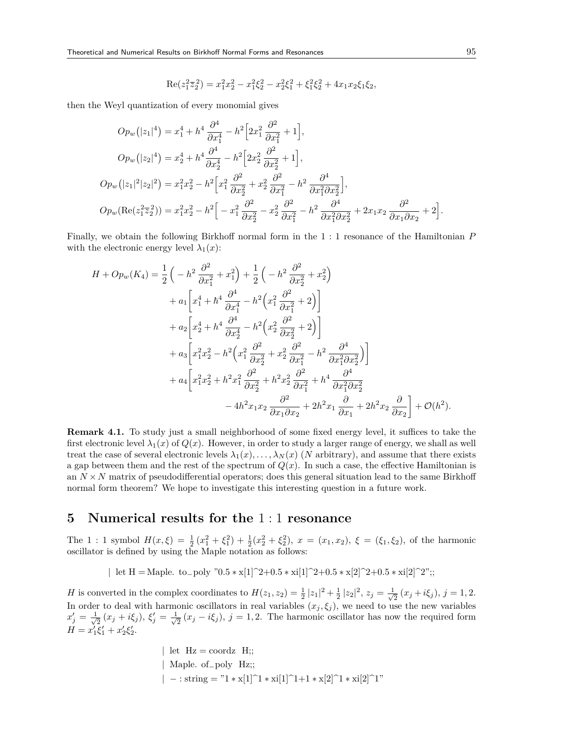$$
Re(z_1^2 \overline{z}_2^2) = x_1^2 x_2^2 - x_1^2 \xi_2^2 - x_2^2 \xi_1^2 + \xi_1^2 \xi_2^2 + 4x_1 x_2 \xi_1 \xi_2,
$$

then the Weyl quantization of every monomial gives

$$
Op_w(|z_1|^4) = x_1^4 + h^4 \frac{\partial^4}{\partial x_1^4} - h^2 \Big[ 2x_1^2 \frac{\partial^2}{\partial x_1^2} + 1 \Big],
$$
  
\n
$$
Op_w(|z_2|^4) = x_2^4 + h^4 \frac{\partial^4}{\partial x_2^4} - h^2 \Big[ 2x_2^2 \frac{\partial^2}{\partial x_2^2} + 1 \Big],
$$
  
\n
$$
Op_w(|z_1|^2 |z_2|^2) = x_1^2 x_2^2 - h^2 \Big[ x_1^2 \frac{\partial^2}{\partial x_2^2} + x_2^2 \frac{\partial^2}{\partial x_1^2} - h^2 \frac{\partial^4}{\partial x_1^2 \partial x_2^2} \Big],
$$
  
\n
$$
Op_w(\text{Re}(z_1^2 \overline{z}_2^2)) = x_1^2 x_2^2 - h^2 \Big[ -x_1^2 \frac{\partial^2}{\partial x_2^2} - x_2^2 \frac{\partial^2}{\partial x_1^2} - h^2 \frac{\partial^4}{\partial x_1^2 \partial x_2^2} + 2x_1 x_2 \frac{\partial^2}{\partial x_1 \partial x_2} + 2 \Big].
$$

Finally, we obtain the following Birkhoff normal form in the 1 : 1 resonance of the Hamiltonian *P* with the electronic energy level  $\lambda_1(x)$ :

$$
H + Op_w(K_4) = \frac{1}{2} \left( -h^2 \frac{\partial^2}{\partial x_1^2} + x_1^2 \right) + \frac{1}{2} \left( -h^2 \frac{\partial^2}{\partial x_2^2} + x_2^2 \right)
$$
  
+  $a_1 \left[ x_1^4 + h^4 \frac{\partial^4}{\partial x_1^4} - h^2 \left( x_1^2 \frac{\partial^2}{\partial x_1^2} + 2 \right) \right]$   
+  $a_2 \left[ x_2^4 + h^4 \frac{\partial^4}{\partial x_2^4} - h^2 \left( x_2^2 \frac{\partial^2}{\partial x_2^2} + 2 \right) \right]$   
+  $a_3 \left[ x_1^2 x_2^2 - h^2 \left( x_1^2 \frac{\partial^2}{\partial x_2^2} + x_2^2 \frac{\partial^2}{\partial x_1^2} - h^2 \frac{\partial^4}{\partial x_1^2 \partial x_2^2} \right) \right]$   
+  $a_4 \left[ x_1^2 x_2^2 + h^2 x_1^2 \frac{\partial^2}{\partial x_2^2} + h^2 x_2^2 \frac{\partial^2}{\partial x_1^2} + h^4 \frac{\partial^4}{\partial x_1^2 \partial x_2^2} - 4h^2 x_1 x_2 \frac{\partial^2}{\partial x_1 \partial x_2} + 2h^2 x_1 \frac{\partial}{\partial x_1} + 2h^2 x_2 \frac{\partial}{\partial x_2} \right] + \mathcal{O}(h^2).$ 

**Remark 4.1.** To study just a small neighborhood of some fixed energy level, it suffices to take the first electronic level  $\lambda_1(x)$  of  $Q(x)$ . However, in order to study a larger range of energy, we shall as well treat the case of several electronic levels  $\lambda_1(x), \ldots, \lambda_N(x)$  (*N* arbitrary), and assume that there exists a gap between them and the rest of the spectrum of  $Q(x)$ . In such a case, the effective Hamiltonian is an  $N \times N$  matrix of pseudodifferential operators; does this general situation lead to the same Birkhoff normal form theorem? We hope to investigate this interesting question in a future work.

## **5 Numerical results for the** 1 : 1 **resonance**

The 1: 1 symbol  $H(x,\xi) = \frac{1}{2}(x_1^2 + \xi_1^2) + \frac{1}{2}(x_2^2 + \xi_2^2)$ ,  $x = (x_1,x_2)$ ,  $\xi = (\xi_1,\xi_2)$ , of the harmonic oscillator is defined by using the Maple notation as follows:

*|* let H = Maple. to*−*poly "0.5 *∗* x[1]^2+0.5 *∗* xi[1]^2+0.5 *∗* x[2]^2+0.5 *∗* xi[2]^2";;

*H* is converted in the complex coordinates to  $H(z_1, z_2) = \frac{1}{2} |z_1|^2 + \frac{1}{2} |z_2|^2$ ,  $z_j = \frac{1}{\sqrt{2}}$  $\frac{1}{2}(x_j+i\xi_j), j=1,2.$ In order to deal with harmonic oscillators in real variables  $(x_j, \xi_j)$ , we need to use the new variables  $x'_j = \frac{1}{\sqrt{j}}$  $\frac{1}{2}(x_j + i\xi_j), \, \xi'_j = \frac{1}{\sqrt{j}}$  $\frac{1}{2}(x_j - i\xi_j)$ ,  $j = 1, 2$ . The harmonic oscillator has now the required form  $H = x'_1 \xi'_1 + x'_2 \xi'_2.$ 

> | let  $Hz = \text{coordz H}$ ; *|* Maple. of*−*poly Hz;; *| −* : string = "1 *∗* x[1]^1 *∗* xi[1]^1+1 *∗* x[2]^1 *∗* xi[2]^1"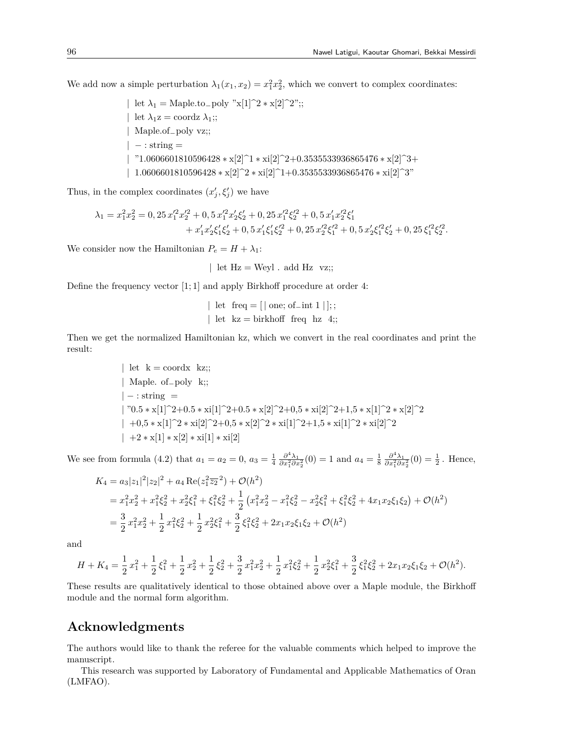We add now a simple perturbation  $\lambda_1(x_1, x_2) = x_1^2 x_2^2$ , which we convert to complex coordinates:

*|* let *λ*<sup>1</sup> = Maple.to*−*poly "x[1]^2 *∗* x[2]^2";; *|* let  $\lambda_1 z = \text{coordz } \lambda_1;$ *|* Maple.of*−*poly vz;; *| −* : string = *|* "1.0606601810596428 *∗* x[2]^1 *∗* xi[2]^2+0.3535533936865476 *∗* x[2]^3+ *|* 1.0606601810596428 *∗* x[2]^2 *∗* xi[2]^1+0.3535533936865476 *∗* xi[2]^3"

Thus, in the complex coordinates  $(x'_{j}, \xi'_{j})$  we have

$$
\begin{aligned} \lambda_1 = x_1^2 x_2^2 = 0, & 25 \, x_1'^2 x_2'^2 + 0, & 5 \, x_1'^2 x_2' \xi_2' + 0, & 25 \, x_1'^2 \xi_2'^2 + 0, & 5 \, x_1' x_2'^2 \xi_1' \\ & + x_1' x_2' \xi_1' \xi_2' + 0, & 5 \, x_1' \xi_1' \xi_2'^2 + 0, & 25 \, x_2'^2 \xi_1'^2 + 0, & 5 \, x_2' \xi_1'^2 \xi_2' + 0, & 25 \, \xi_1'^2 \xi_2'^2. \end{aligned}
$$

We consider now the Hamiltonian  $P_e = H + \lambda_1$ :

*|* let Hz = Weyl . add Hz vz;;

Define the frequency vector [1; 1] and apply Birkhoff procedure at order 4:

$$
\begin{aligned} \n\mid \text{ let } \text{ freq} = [\mid \text{one}; \text{ of } \_ \text{int } 1 \mid]; \\ \n\mid \text{ let } \mathbf{kz} = \text{ birkhoff } \text{ freq } \mathbf{hz } 4]; \n\end{aligned}
$$

Then we get the normalized Hamiltonian kz, which we convert in the real coordinates and print the result:

> $|$  let  $k =$  coordx kz;; *|* Maple. of*−*poly k;; *| −* : string = *|* "0.5 *∗* x[1]^2+0.5 *∗* xi[1]^2+0.5 *∗* x[2]^2+0,5 *∗* xi[2]^2+1,5 *∗* x[1]^2 *∗* x[2]^2 *|* +0,5 *∗* x[1]^2 *∗* xi[2]^2+0,5 *∗* x[2]^2 *∗* xi[1]^2+1,5 *∗* xi[1]^2 *∗* xi[2]^2 *|* +2 *∗* x[1] *∗* x[2] *∗* xi[1] *∗* xi[2]

We see from formula (4.2) that  $a_1 = a_2 = 0$ ,  $a_3 = \frac{1}{4} \frac{\partial^4 \lambda_1}{\partial x_1^2 \partial x_2^2} (0) = 1$  and  $a_4 = \frac{1}{8} \frac{\partial^4 \lambda_1}{\partial x_1^2 \partial x_2^2} (0) = \frac{1}{2}$ . Hence,

$$
K_4 = a_3|z_1|^2|z_2|^2 + a_4 \operatorname{Re}(z_1^2 \overline{z_2}^2) + \mathcal{O}(h^2)
$$
  
=  $x_1^2 x_2^2 + x_1^2 \xi_2^2 + x_2^2 \xi_1^2 + \xi_1^2 \xi_2^2 + \frac{1}{2} (x_1^2 x_2^2 - x_1^2 \xi_2^2 - x_2^2 \xi_1^2 + \xi_1^2 \xi_2^2 + 4x_1 x_2 \xi_1 \xi_2) + \mathcal{O}(h^2)$   
=  $\frac{3}{2} x_1^2 x_2^2 + \frac{1}{2} x_1^2 \xi_2^2 + \frac{1}{2} x_2^2 \xi_1^2 + \frac{3}{2} \xi_1^2 \xi_2^2 + 2x_1 x_2 \xi_1 \xi_2 + \mathcal{O}(h^2)$ 

and

$$
H + K_4 = \frac{1}{2}x_1^2 + \frac{1}{2}\xi_1^2 + \frac{1}{2}x_2^2 + \frac{1}{2}\xi_2^2 + \frac{3}{2}x_1^2x_2^2 + \frac{1}{2}x_1^2\xi_2^2 + \frac{1}{2}x_2^2\xi_1^2 + \frac{3}{2}\xi_1^2\xi_2^2 + 2x_1x_2\xi_1\xi_2 + \mathcal{O}(h^2).
$$

These results are qualitatively identical to those obtained above over a Maple module, the Birkhoff module and the normal form algorithm.

## **Acknowledgments**

The authors would like to thank the referee for the valuable comments which helped to improve the manuscript.

This research was supported by Laboratory of Fundamental and Applicable Mathematics of Oran (LMFAO).